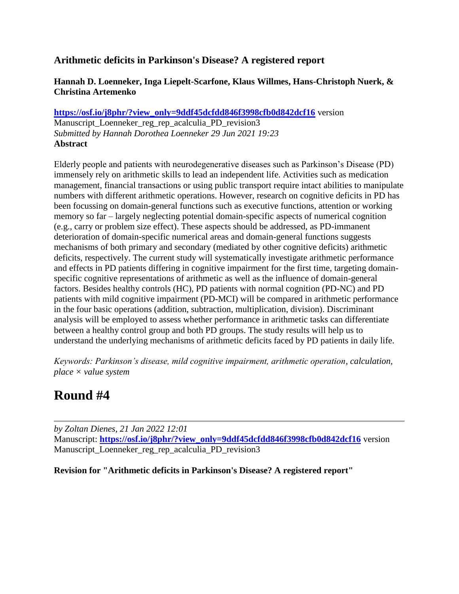## **Arithmetic deficits in Parkinson's Disease? A registered report**

### **Hannah D. Loenneker, Inga Liepelt-Scarfone, Klaus Willmes, Hans-Christoph Nuerk, & Christina Artemenko**

**[https://osf.io/j8phr/?view\\_only=9ddf45dcfdd846f3998cfb0d842dcf16](https://osf.io/j8phr/?view_only=9ddf45dcfdd846f3998cfb0d842dcf16)** version Manuscript\_Loenneker\_reg\_rep\_acalculia\_PD\_revision3 *Submitted by Hannah Dorothea Loenneker 29 Jun 2021 19:23* **Abstract**

Elderly people and patients with neurodegenerative diseases such as Parkinson's Disease (PD) immensely rely on arithmetic skills to lead an independent life. Activities such as medication management, financial transactions or using public transport require intact abilities to manipulate numbers with different arithmetic operations. However, research on cognitive deficits in PD has been focussing on domain-general functions such as executive functions, attention or working memory so far – largely neglecting potential domain-specific aspects of numerical cognition (e.g., carry or problem size effect). These aspects should be addressed, as PD-immanent deterioration of domain-specific numerical areas and domain-general functions suggests mechanisms of both primary and secondary (mediated by other cognitive deficits) arithmetic deficits, respectively. The current study will systematically investigate arithmetic performance and effects in PD patients differing in cognitive impairment for the first time, targeting domainspecific cognitive representations of arithmetic as well as the influence of domain-general factors. Besides healthy controls (HC), PD patients with normal cognition (PD-NC) and PD patients with mild cognitive impairment (PD-MCI) will be compared in arithmetic performance in the four basic operations (addition, subtraction, multiplication, division). Discriminant analysis will be employed to assess whether performance in arithmetic tasks can differentiate between a healthy control group and both PD groups. The study results will help us to understand the underlying mechanisms of arithmetic deficits faced by PD patients in daily life.

*Keywords: Parkinson's disease, mild cognitive impairment, arithmetic operation, calculation, place × value system*

# **Round #4**

*by Zoltan Dienes, 21 Jan 2022 12:01* Manuscript: **[https://osf.io/j8phr/?view\\_only=9ddf45dcfdd846f3998cfb0d842dcf16](https://osf.io/j8phr/?view_only=9ddf45dcfdd846f3998cfb0d842dcf16)** version Manuscript\_Loenneker\_reg\_rep\_acalculia\_PD\_revision3

**Revision for "Arithmetic deficits in Parkinson's Disease? A registered report"**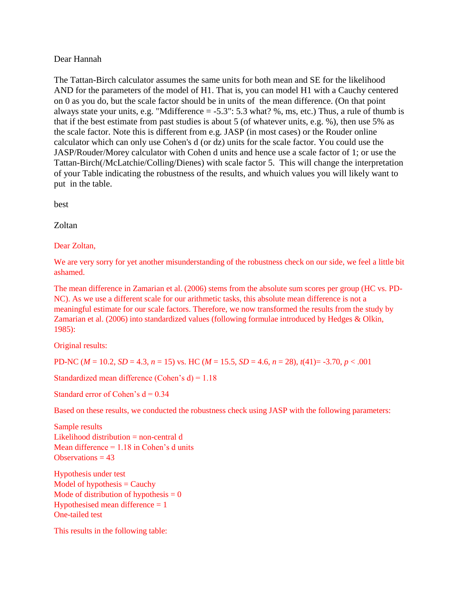### Dear Hannah

The Tattan-Birch calculator assumes the same units for both mean and SE for the likelihood AND for the parameters of the model of H1. That is, you can model H1 with a Cauchy centered on 0 as you do, but the scale factor should be in units of the mean difference. (On that point always state your units, e.g. "Mdifference = -5.3": 5.3 what? %, ms, etc.) Thus, a rule of thumb is that if the best estimate from past studies is about 5 (of whatever units, e.g. %), then use 5% as the scale factor. Note this is different from e.g. JASP (in most cases) or the Rouder online calculator which can only use Cohen's d (or dz) units for the scale factor. You could use the JASP/Rouder/Morey calculator with Cohen d units and hence use a scale factor of 1; or use the Tattan-Birch(/McLatchie/Colling/Dienes) with scale factor 5. This will change the interpretation of your Table indicating the robustness of the results, and whuich values you will likely want to put in the table.

best

Zoltan

### Dear Zoltan,

We are very sorry for yet another misunderstanding of the robustness check on our side, we feel a little bit ashamed.

The mean difference in Zamarian et al. (2006) stems from the absolute sum scores per group (HC vs. PD-NC). As we use a different scale for our arithmetic tasks, this absolute mean difference is not a meaningful estimate for our scale factors. Therefore, we now transformed the results from the study by Zamarian et al. (2006) into standardized values (following formulae introduced by Hedges & Olkin, 1985):

Original results:

PD-NC (*M* = 10.2, *SD* = 4.3, *n* = 15) vs. HC (*M* = 15.5, *SD* = 4.6, *n* = 28), *t*(41)= -3.70, *p* < .001

Standardized mean difference (Cohen's d) = 1.18

Standard error of Cohen's  $d = 0.34$ 

Based on these results, we conducted the robustness check using JASP with the following parameters:

Sample results Likelihood distribution = non-central d Mean difference  $= 1.18$  in Cohen's d units Observations  $= 43$ 

Hypothesis under test Model of hypothesis  $=$  Cauchy Mode of distribution of hypothesis  $= 0$ Hypothesised mean difference  $= 1$ One-tailed test

This results in the following table: